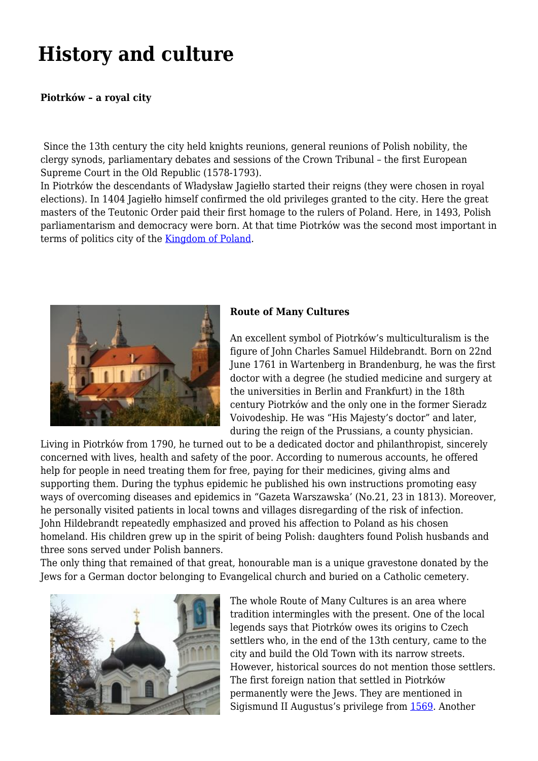## **History and culture**

## **Piotrków – a royal city**

Since the 13th century the city held knights reunions, general reunions of Polish nobility, the clergy synods, parliamentary debates and sessions of the Crown Tribunal – the first European Supreme Court in the Old Republic (1578-1793).

In Piotrków the descendants of Władysław Jagiełło started their reigns (they were chosen in royal elections). In 1404 Jagiełło himself confirmed the old privileges granted to the city. Here the great masters of the Teutonic Order paid their first homage to the rulers of Poland. Here, in 1493, Polish parliamentarism and democracy were born. At that time Piotrków was the second most important in terms of politics city of the [Kingdom of Poland](http://en.wikipedia.org/wiki/Piotrk%C3%B3w_Trybunalski#Premodern_history).



## **Route of Many Cultures**

An excellent symbol of Piotrków's multiculturalism is the figure of John Charles Samuel Hildebrandt. Born on 22nd June 1761 in Wartenberg in Brandenburg, he was the first doctor with a degree (he studied medicine and surgery at the universities in Berlin and Frankfurt) in the 18th century Piotrków and the only one in the former Sieradz Voivodeship. He was "His Majesty's doctor" and later, during the reign of the Prussians, a county physician.

Living in Piotrków from 1790, he turned out to be a dedicated doctor and philanthropist, sincerely concerned with lives, health and safety of the poor. According to numerous accounts, he offered help for people in need treating them for free, paying for their medicines, giving alms and supporting them. During the typhus epidemic he published his own instructions promoting easy ways of overcoming diseases and epidemics in "Gazeta Warszawska' (No.21, 23 in 1813). Moreover, he personally visited patients in local towns and villages disregarding of the risk of infection. John Hildebrandt repeatedly emphasized and proved his affection to Poland as his chosen homeland. His children grew up in the spirit of being Polish: daughters found Polish husbands and three sons served under Polish banners.

The only thing that remained of that great, honourable man is a unique gravestone donated by the Jews for a German doctor belonging to Evangelical church and buried on a Catholic cemetery.



The whole Route of Many Cultures is an area where tradition intermingles with the present. One of the local legends says that Piotrków owes its origins to Czech settlers who, in the end of the 13th century, came to the city and build the Old Town with its narrow streets. However, historical sources do not mention those settlers. The first foreign nation that settled in Piotrków permanently were the Jews. They are mentioned in Sigismund II Augustus's privilege from [1569](http://en.wikipedia.org/wiki/Polish%E2%80%93Lithuanian_Commonwealth). Another